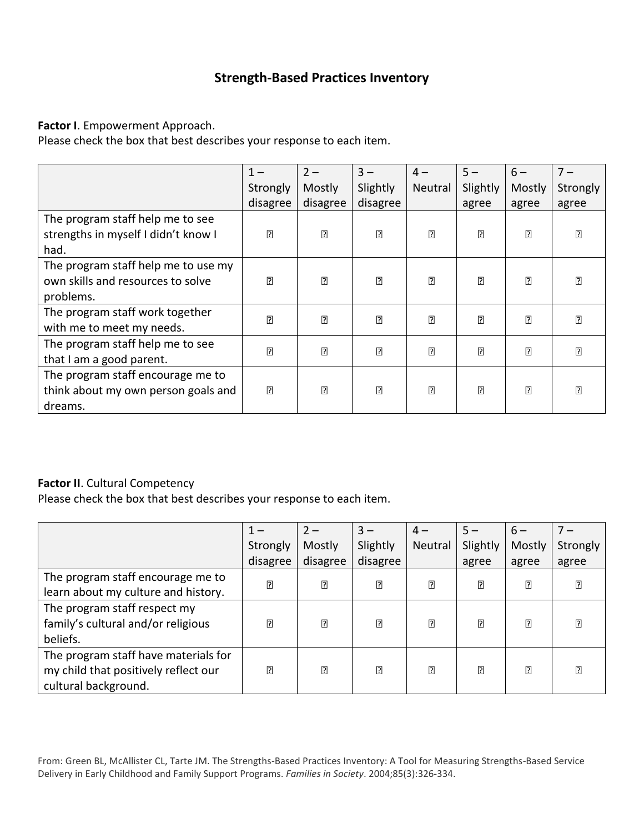# **Strength-Based Practices Inventory**

#### **Factor I**. Empowerment Approach.

Please check the box that best describes your response to each item.

|                                     | $1 -$    | $2 -$    | $3 -$    | $4-$    | $5 -$    | $6-$   | $7 -$    |
|-------------------------------------|----------|----------|----------|---------|----------|--------|----------|
|                                     | Strongly | Mostly   | Slightly | Neutral | Slightly | Mostly | Strongly |
|                                     | disagree | disagree | disagree |         | agree    | agree  | agree    |
| The program staff help me to see    |          |          |          |         |          |        |          |
| strengths in myself I didn't know I |          |          |          |         |          |        |          |
| had.                                |          |          |          |         |          |        |          |
| The program staff help me to use my |          |          |          |         |          |        |          |
| own skills and resources to solve   |          |          |          |         |          |        |          |
| problems.                           |          |          |          |         |          |        |          |
| The program staff work together     |          |          |          |         |          |        |          |
| with me to meet my needs.           |          |          |          |         |          |        |          |
| The program staff help me to see    |          |          |          |         |          |        |          |
| that I am a good parent.            |          |          |          |         |          |        |          |
| The program staff encourage me to   |          |          |          |         |          |        |          |
| think about my own person goals and |          |          |          |         |          |        |          |
| dreams.                             |          |          |          |         |          |        |          |

### **Factor II**. Cultural Competency

Please check the box that best describes your response to each item.

|                                      |          | $2-$     | $3 -$    | $4-$    | $5 -$    | $6-$   |          |
|--------------------------------------|----------|----------|----------|---------|----------|--------|----------|
|                                      | Strongly | Mostly   | Slightly | Neutral | Slightly | Mostly | Strongly |
|                                      | disagree | disagree | disagree |         | agree    | agree  | agree    |
| The program staff encourage me to    |          |          |          |         |          |        |          |
| learn about my culture and history.  |          |          |          |         |          |        |          |
| The program staff respect my         |          |          |          |         |          |        |          |
| family's cultural and/or religious   |          |          |          |         |          |        |          |
| beliefs.                             |          |          |          |         |          |        |          |
| The program staff have materials for |          |          |          |         |          |        |          |
| my child that positively reflect our |          |          |          |         |          |        |          |
| cultural background.                 |          |          |          |         |          |        |          |

From: Green BL, McAllister CL, Tarte JM. The Strengths-Based Practices Inventory: A Tool for Measuring Strengths-Based Service Delivery in Early Childhood and Family Support Programs. *Families in Society*. 2004;85(3):326-334.